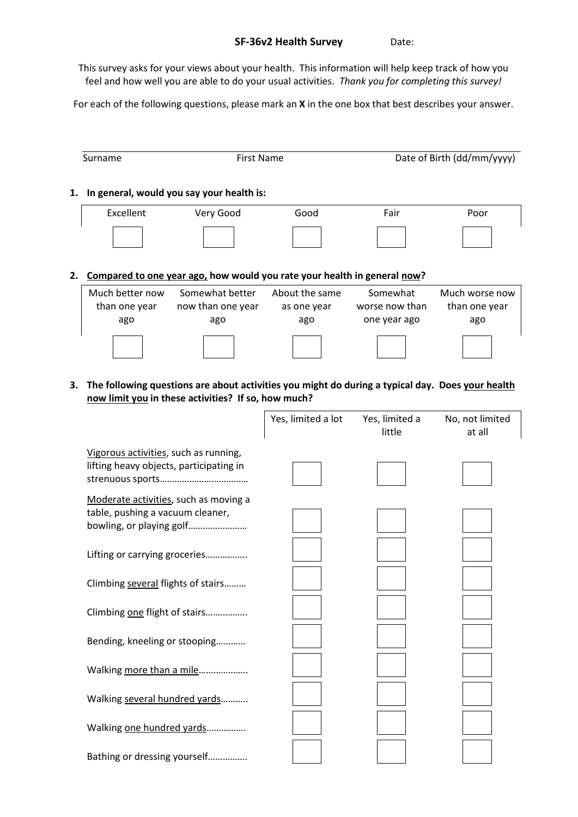## SF-36v2 Health Survey Date:

This survey asks for your views about your health. This information will help keep track of how you feel and how well you are able to do your usual activities. *Thank you for completing this survey!*

For each of the following questions, please mark an X in the one box that best describes your answer.

|    | Surname                                 | <b>First Name</b>                                                        |                                      |                                            | Date of Birth (dd/mm/yyyy)             |
|----|-----------------------------------------|--------------------------------------------------------------------------|--------------------------------------|--------------------------------------------|----------------------------------------|
| 1. |                                         | In general, would you say your health is:                                |                                      |                                            |                                        |
|    | Excellent                               | Very Good                                                                | Good                                 | Fair                                       | Poor                                   |
|    |                                         |                                                                          |                                      |                                            |                                        |
| 2. |                                         | Compared to one year ago, how would you rate your health in general now? |                                      |                                            |                                        |
|    | Much better now<br>than one year<br>ago | Somewhat better<br>now than one year<br>ago                              | About the same<br>as one year<br>ago | Somewhat<br>worse now than<br>one year ago | Much worse now<br>than one year<br>ago |

3. The following questions are about activities you might do during a typical day. Does your health now limit you in these activities? If so, how much?

 $\mathsf{r}$ 

|                                                                                                       | Yes, limited a lot | Yes, limited a<br>little | No, not limited<br>at all |
|-------------------------------------------------------------------------------------------------------|--------------------|--------------------------|---------------------------|
| Vigorous activities, such as running,<br>lifting heavy objects, participating in                      |                    |                          |                           |
| Moderate activities, such as moving a<br>table, pushing a vacuum cleaner,<br>bowling, or playing golf |                    |                          |                           |
| Lifting or carrying groceries                                                                         |                    |                          |                           |
| Climbing several flights of stairs                                                                    |                    |                          |                           |
| Climbing one flight of stairs                                                                         |                    |                          |                           |
| Bending, kneeling or stooping                                                                         |                    |                          |                           |
| Walking more than a mile                                                                              |                    |                          |                           |
| Walking several hundred yards                                                                         |                    |                          |                           |
| Walking one hundred yards                                                                             |                    |                          |                           |
| Bathing or dressing yourself                                                                          |                    |                          |                           |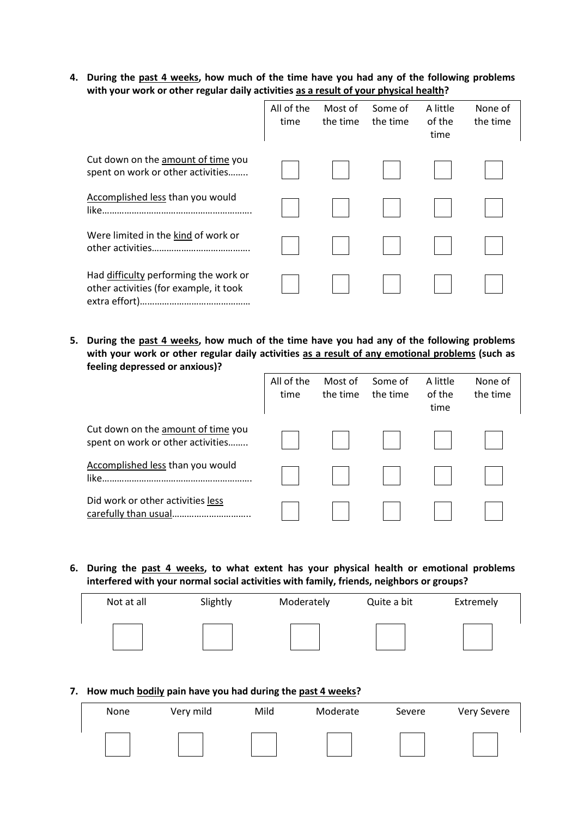4. During the past 4 weeks, how much of the time have you had any of the following problems with your work or other regular daily activities as a result of your physical health?

|                                                                                 | All of the<br>time | Most of<br>the time | Some of<br>the time | A little<br>of the<br>time | None of<br>the time |
|---------------------------------------------------------------------------------|--------------------|---------------------|---------------------|----------------------------|---------------------|
| Cut down on the amount of time you<br>spent on work or other activities         |                    |                     |                     |                            |                     |
| Accomplished less than you would                                                |                    |                     |                     |                            |                     |
| Were limited in the kind of work or                                             |                    |                     |                     |                            |                     |
| Had difficulty performing the work or<br>other activities (for example, it took |                    |                     |                     |                            |                     |

5. During the past 4 weeks, how much of the time have you had any of the following problems with your work or other regular daily activities as a result of any emotional problems (such as feeling depressed or anxious)?

|                                                                         | All of the<br>time | Most of<br>the time | Some of<br>the time | A little<br>of the<br>time | None of<br>the time |
|-------------------------------------------------------------------------|--------------------|---------------------|---------------------|----------------------------|---------------------|
| Cut down on the amount of time you<br>spent on work or other activities |                    |                     |                     |                            |                     |
| Accomplished less than you would                                        |                    |                     |                     |                            |                     |
| Did work or other activities less                                       |                    |                     |                     |                            |                     |

6. During the past 4 weeks, to what extent has your physical health or emotional problems interfered with your normal social activities with family, friends, neighbors or groups?

| Not at all | Slightly | Moderately | Quite a bit | Extremely |
|------------|----------|------------|-------------|-----------|
|            |          |            |             |           |

## 7. How much bodily pain have you had during the past 4 weeks?

| None | Very mild | Mild | Moderate | Severe | <b>Very Severe</b> |
|------|-----------|------|----------|--------|--------------------|
|      |           |      |          |        |                    |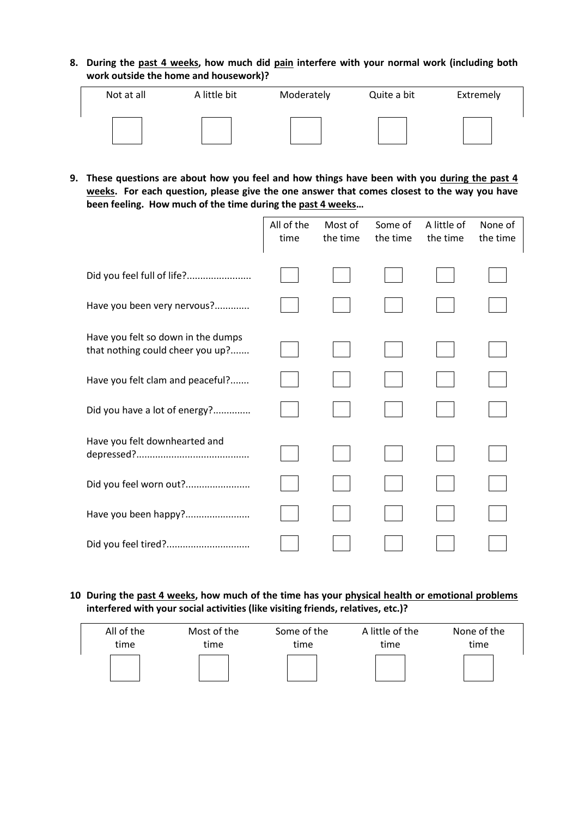8. During the past 4 weeks, how much did pain interfere with your normal work (including both work outside the home and housework)?

| Not at all | A little bit | Moderately | Quite a bit | Extremely |
|------------|--------------|------------|-------------|-----------|
|            |              |            |             |           |

9. These questions are about how you feel and how things have been with you during the past 4 weeks. For each question, please give the one answer that comes closest to the way you have been feeling. How much of the time during the past 4 weeks…

|                                                                        | All of the<br>time | Most of<br>the time | Some of<br>the time | A little of<br>the time | None of<br>the time |
|------------------------------------------------------------------------|--------------------|---------------------|---------------------|-------------------------|---------------------|
| Did you feel full of life?                                             |                    |                     |                     |                         |                     |
| Have you been very nervous?                                            |                    |                     |                     |                         |                     |
| Have you felt so down in the dumps<br>that nothing could cheer you up? |                    |                     |                     |                         |                     |
| Have you felt clam and peaceful?                                       |                    |                     |                     |                         |                     |
| Did you have a lot of energy?                                          |                    |                     |                     |                         |                     |
| Have you felt downhearted and                                          |                    |                     |                     |                         |                     |
| Did you feel worn out?                                                 |                    |                     |                     |                         |                     |
| Have you been happy?                                                   |                    |                     |                     |                         |                     |
| Did you feel tired?                                                    |                    |                     |                     |                         |                     |

## 10 During the past 4 weeks, how much of the time has your physical health or emotional problems interfered with your social activities (like visiting friends, relatives, etc.)?

| All of the | Most of the | Some of the | A little of the | None of the |
|------------|-------------|-------------|-----------------|-------------|
| time       | time        | time        | time            | time        |
|            |             |             |                 |             |